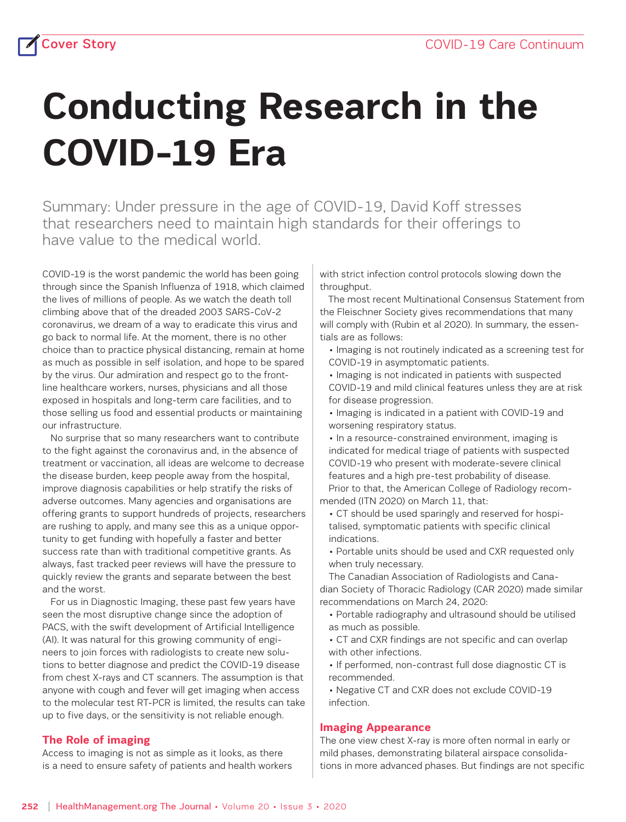# **Conducting Research in the COVID-19 Era**

Summary: Under pressure in the age of COVID-19, David Koff stresses that researchers need to maintain high standards for their offerings to have value to the medical world.

COVID-19 is the worst pandemic the world has been going through since the Spanish Influenza of 1918, which claimed the lives of millions of people. As we watch the death toll climbing above that of the dreaded 2003 SARS-CoV-2 coronavirus, we dream of a way to eradicate this virus and go back to normal life. At the moment, there is no other choice than to practice physical distancing, remain at home as much as possible in self isolation, and hope to be spared by the virus. Our admiration and respect go to the frontline healthcare workers, nurses, physicians and all those exposed in hospitals and long-term care facilities, and to those selling us food and essential products or maintaining our infrastructure.

 No surprise that so many researchers want to contribute to the fight against the coronavirus and, in the absence of treatment or vaccination, all ideas are welcome to decrease the disease burden, keep people away from the hospital, improve diagnosis capabilities or help stratify the risks of adverse outcomes. Many agencies and organisations are offering grants to support hundreds of projects, researchers are rushing to apply, and many see this as a unique opportunity to get funding with hopefully a faster and better success rate than with traditional competitive grants. As always, fast tracked peer reviews will have the pressure to quickly review the grants and separate between the best and the worst.

 For us in Diagnostic Imaging, these past few years have seen the most disruptive change since the adoption of PACS, with the swift development of Artificial Intelligence (AI). It was natural for this growing community of engineers to join forces with radiologists to create new solutions to better diagnose and predict the COVID-19 disease from chest X-rays and CT scanners. The assumption is that anyone with cough and fever will get imaging when access to the molecular test RT-PCR is limited, the results can take up to five days, or the sensitivity is not reliable enough.

### **The Role of imaging**

Access to imaging is not as simple as it looks, as there is a need to ensure safety of patients and health workers with strict infection control protocols slowing down the throughput.

 The most recent Multinational Consensus Statement from the Fleischner Society gives recommendations that many will comply with (Rubin et al 2020). In summary, the essentials are as follows:

• Imaging is not routinely indicated as a screening test for COVID-19 in asymptomatic patients.

• Imaging is not indicated in patients with suspected COVID-19 and mild clinical features unless they are at risk for disease progression.

• Imaging is indicated in a patient with COVID-19 and worsening respiratory status.

- In a resource-constrained environment, imaging is indicated for medical triage of patients with suspected COVID-19 who present with moderate-severe clinical features and a high pre-test probability of disease. Prior to that, the American College of Radiology recommended (ITN 2020) on March 11, that:
	- CT should be used sparingly and reserved for hospitalised, symptomatic patients with specific clinical indications.
	- Portable units should be used and CXR requested only when truly necessary.

The Canadian Association of Radiologists and Canadian Society of Thoracic Radiology (CAR 2020) made similar recommendations on March 24, 2020:

- Portable radiography and ultrasound should be utilised as much as possible.
- CT and CXR findings are not specific and can overlap with other infections.
- If performed, non-contrast full dose diagnostic CT is recommended.
- Negative CT and CXR does not exclude COVID-19 infection.

## **Imaging Appearance**

The one view chest X-ray is more often normal in early or mild phases, demonstrating bilateral airspace consolidations in more advanced phases. But findings are not specific